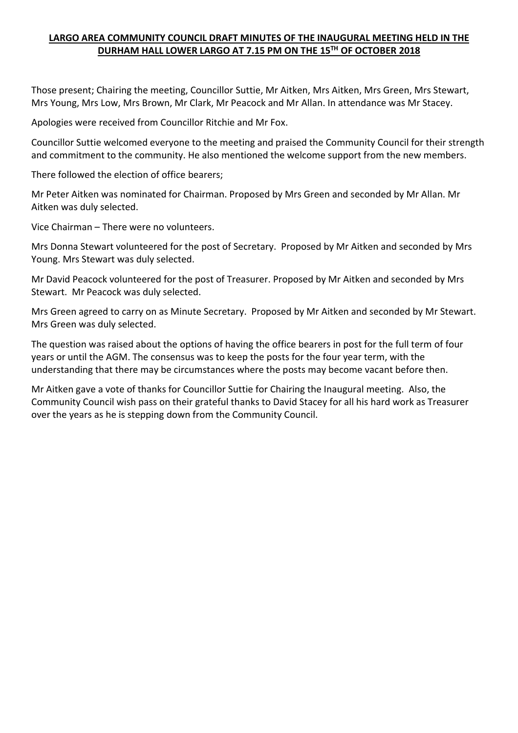### **LARGO AREA COMMUNITY COUNCIL DRAFT MINUTES OF THE INAUGURAL MEETING HELD IN THE DURHAM HALL LOWER LARGO AT 7.15 PM ON THE 15TH OF OCTOBER 2018**

Those present; Chairing the meeting, Councillor Suttie, Mr Aitken, Mrs Aitken, Mrs Green, Mrs Stewart, Mrs Young, Mrs Low, Mrs Brown, Mr Clark, Mr Peacock and Mr Allan. In attendance was Mr Stacey.

Apologies were received from Councillor Ritchie and Mr Fox.

Councillor Suttie welcomed everyone to the meeting and praised the Community Council for their strength and commitment to the community. He also mentioned the welcome support from the new members.

There followed the election of office bearers;

Mr Peter Aitken was nominated for Chairman. Proposed by Mrs Green and seconded by Mr Allan. Mr Aitken was duly selected.

Vice Chairman – There were no volunteers.

Mrs Donna Stewart volunteered for the post of Secretary. Proposed by Mr Aitken and seconded by Mrs Young. Mrs Stewart was duly selected.

Mr David Peacock volunteered for the post of Treasurer. Proposed by Mr Aitken and seconded by Mrs Stewart. Mr Peacock was duly selected.

Mrs Green agreed to carry on as Minute Secretary. Proposed by Mr Aitken and seconded by Mr Stewart. Mrs Green was duly selected.

The question was raised about the options of having the office bearers in post for the full term of four years or until the AGM. The consensus was to keep the posts for the four year term, with the understanding that there may be circumstances where the posts may become vacant before then.

Mr Aitken gave a vote of thanks for Councillor Suttie for Chairing the Inaugural meeting. Also, the Community Council wish pass on their grateful thanks to David Stacey for all his hard work as Treasurer over the years as he is stepping down from the Community Council.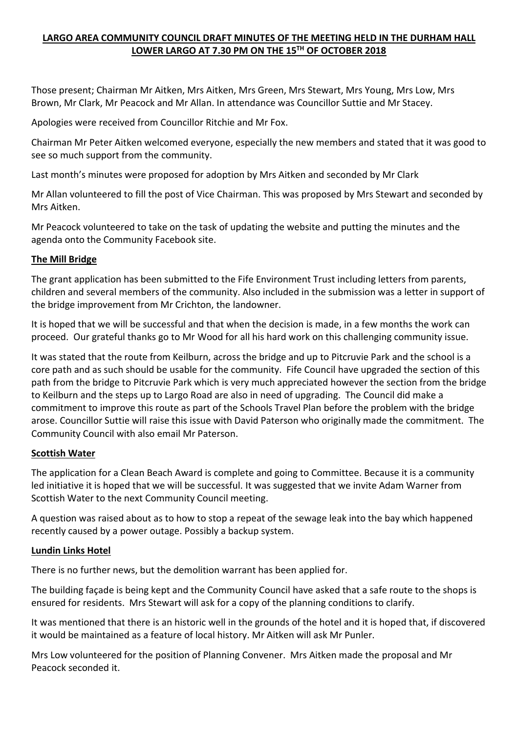## **LARGO AREA COMMUNITY COUNCIL DRAFT MINUTES OF THE MEETING HELD IN THE DURHAM HALL LOWER LARGO AT 7.30 PM ON THE 15TH OF OCTOBER 2018**

Those present; Chairman Mr Aitken, Mrs Aitken, Mrs Green, Mrs Stewart, Mrs Young, Mrs Low, Mrs Brown, Mr Clark, Mr Peacock and Mr Allan. In attendance was Councillor Suttie and Mr Stacey.

Apologies were received from Councillor Ritchie and Mr Fox.

Chairman Mr Peter Aitken welcomed everyone, especially the new members and stated that it was good to see so much support from the community.

Last month's minutes were proposed for adoption by Mrs Aitken and seconded by Mr Clark

Mr Allan volunteered to fill the post of Vice Chairman. This was proposed by Mrs Stewart and seconded by Mrs Aitken.

Mr Peacock volunteered to take on the task of updating the website and putting the minutes and the agenda onto the Community Facebook site.

### **The Mill Bridge**

The grant application has been submitted to the Fife Environment Trust including letters from parents, children and several members of the community. Also included in the submission was a letter in support of the bridge improvement from Mr Crichton, the landowner.

It is hoped that we will be successful and that when the decision is made, in a few months the work can proceed. Our grateful thanks go to Mr Wood for all his hard work on this challenging community issue.

It was stated that the route from Keilburn, across the bridge and up to Pitcruvie Park and the school is a core path and as such should be usable for the community. Fife Council have upgraded the section of this path from the bridge to Pitcruvie Park which is very much appreciated however the section from the bridge to Keilburn and the steps up to Largo Road are also in need of upgrading. The Council did make a commitment to improve this route as part of the Schools Travel Plan before the problem with the bridge arose. Councillor Suttie will raise this issue with David Paterson who originally made the commitment. The Community Council with also email Mr Paterson.

### **Scottish Water**

The application for a Clean Beach Award is complete and going to Committee. Because it is a community led initiative it is hoped that we will be successful. It was suggested that we invite Adam Warner from Scottish Water to the next Community Council meeting.

A question was raised about as to how to stop a repeat of the sewage leak into the bay which happened recently caused by a power outage. Possibly a backup system.

### **Lundin Links Hotel**

There is no further news, but the demolition warrant has been applied for.

The building façade is being kept and the Community Council have asked that a safe route to the shops is ensured for residents. Mrs Stewart will ask for a copy of the planning conditions to clarify.

It was mentioned that there is an historic well in the grounds of the hotel and it is hoped that, if discovered it would be maintained as a feature of local history. Mr Aitken will ask Mr Punler.

Mrs Low volunteered for the position of Planning Convener. Mrs Aitken made the proposal and Mr Peacock seconded it.